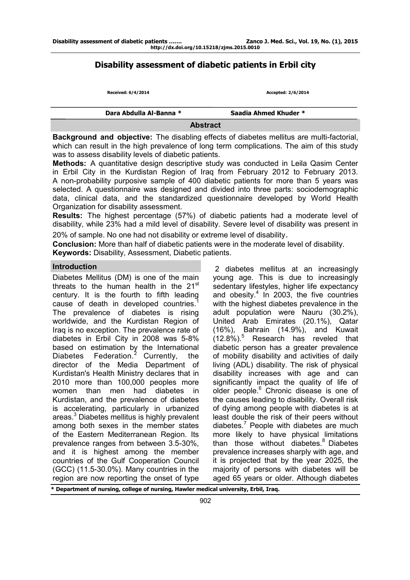# **Disability assessment of diabetic patients in Erbil city**

| Received: 6/4/2014      | Accepted: 2/6/2014    |  |  |  |
|-------------------------|-----------------------|--|--|--|
| Dara Abdulla Al-Banna * | Saadia Ahmed Khuder * |  |  |  |
| <b>Abstract</b>         |                       |  |  |  |

**Background and objective:** The disabling effects of diabetes mellitus are multi-factorial, which can result in the high prevalence of long term complications. The aim of this study was to assess disability levels of diabetic patients.

**Methods:** A quantitative design descriptive study was conducted in Leila Qasim Center in Erbil City in the Kurdistan Region of Iraq from February 2012 to February 2013. A non-probability purposive sample of 400 diabetic patients for more than 5 years was selected. A questionnaire was designed and divided into three parts: sociodemographic data, clinical data, and the standardized questionnaire developed by World Health Organization for disability assessment.

**Results:** The highest percentage (57%) of diabetic patients had a moderate level of disability, while 23% had a mild level of disability. Severe level of disability was present in

20% of sample. No one had not disability or extreme level of disability.

**Conclusion:** More than half of diabetic patients were in the moderate level of disability. **Keywords:** Disability, Assessment, Diabetic patients.

### **Introduction**

Diabetes Mellitus (DM) is one of the main threats to the human health in the 21<sup>st</sup> century. It is the fourth to fifth leading cause of death in developed countries.<sup>1</sup> The prevalence of diabetes is rising worldwide, and the Kurdistan Region of Iraq is no exception. The prevalence rate of diabetes in Erbil City in 2008 was 5-8% based on estimation by the International Diabetes Federation.<sup>2</sup> Currently, the director of the Media Department of Kurdistan's Health Ministry declares that in 2010 more than 100,000 peoples more women than men had diabetes in Kurdistan, and the prevalence of diabetes is accelerating, particularly in urbanized areas.<sup>3</sup> Diabetes mellitus is highly prevalent among both sexes in the member states of the Eastern Mediterranean Region. Its prevalence ranges from between 3.5-30%, and it is highest among the member countries of the Gulf Cooperation Council (GCC) (11.5-30.0%). Many countries in the region are now reporting the onset of type

2 diabetes mellitus at an increasingly young age. This is due to increasingly sedentary lifestyles, higher life expectancy and obesity. $4$  In 2003, the five countries with the highest diabetes prevalence in the adult population were Nauru (30.2%), United Arab Emirates (20.1%), Qatar (16%), Bahrain (14.9%), and Kuwait  $(12.8\%)$ <sup>5</sup> Research has reveled that diabetic person has a greater prevalence of mobility disability and activities of daily living (ADL) disability. The risk of physical disability increases with age and can significantly impact the quality of life of older people.<sup>6</sup> Chronic disease is one of the causes leading to disability. Overall risk of dying among people with diabetes is at least double the risk of their peers without diabetes. $<sup>7</sup>$  People with diabetes are much</sup> more likely to have physical limitations than those without diabetes. $8$  Diabetes prevalence increases sharply with age, and it is projected that by the year 2025, the majority of persons with diabetes will be aged 65 years or older. Although diabetes

**\* Department of nursing, college of nursing, Hawler medical university, Erbil, Iraq.**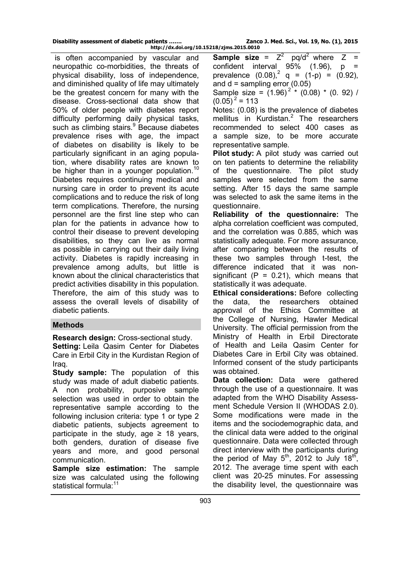is often accompanied by vascular and neuropathic co-morbidities, the threats of physical disability, loss of independence, and diminished quality of life may ultimately be the greatest concern for many with the disease. Cross-sectional data show that 50% of older people with diabetes report difficulty performing daily physical tasks, such as climbing stairs.<sup>9</sup> Because diabetes prevalence rises with age, the impact of diabetes on disability is likely to be particularly significant in an aging population, where disability rates are known to be higher than in a younger population.<sup>10</sup> Diabetes requires continuing medical and nursing care in order to prevent its acute complications and to reduce the risk of long term complications. Therefore, the nursing personnel are the first line step who can plan for the patients in advance how to control their disease to prevent developing disabilities, so they can live as normal as possible in carrying out their daily living activity. Diabetes is rapidly increasing in prevalence among adults, but little is known about the clinical characteristics that predict activities disability in this population. Therefore, the aim of this study was to assess the overall levels of disability of diabetic patients.

# **Methods**

**Research design:** Cross-sectional study.

**Setting: Leila Qasim Center for Diabetes** Care in Erbil City in the Kurdistan Region of Iraq.

**Study sample:** The population of this study was made of adult diabetic patients. A non probability, purposive sample selection was used in order to obtain the representative sample according to the following inclusion criteria: type 1 or type 2 diabetic patients, subjects agreement to participate in the study, age  $\geq$  18 years, both genders, duration of disease five years and more, and good personal communication.

**Sample size estimation:** The sample size was calculated using the following statistical formula:<sup>11</sup>

**Sample size** =  $Z^2$  pq/d<sup>2</sup> where  $Z =$ confident interval  $95\%$  (1.96), p prevalence  $(0.08)^2$  q =  $(1-p)$  =  $(0.92)$ , and  $d =$  sampling error (0.05)

Sample size =  $(1.96)^{2}$  \*  $(0.08)$  \*  $(0.92)$  /  $(0.05)^2$  = 113

Notes: (0.08) is the prevalence of diabetes mellitus in Kurdistan. $^2$  The researchers recommended to select 400 cases as a sample size, to be more accurate representative sample.

**Pilot study:** A pilot study was carried out on ten patients to determine the reliability of the questionnaire. The pilot study samples were selected from the same setting. After 15 days the same sample was selected to ask the same items in the questionnaire.

**Reliability of the questionnaire:** The alpha correlation coefficient was computed, and the correlation was 0.885, which was statistically adequate. For more assurance, after comparing between the results of these two samples through t-test, the difference indicated that it was nonsignificant  $(P = 0.21)$ , which means that statistically it was adequate.

**Ethical considerations:** Before collecting the data, the researchers obtained approval of the Ethics Committee at the College of Nursing, Hawler Medical University. The official permission from the Ministry of Health in Erbil Directorate of Health and Leila Qasim Center for Diabetes Care in Erbil City was obtained. Informed consent of the study participants was obtained.

**Data collection:** Data were gathered through the use of a questionnaire. It was adapted from the WHO Disability Assessment Schedule Version II (WHODAS 2.0). Some modifications were made in the items and the sociodemographic data, and the clinical data were added to the original questionnaire. Data were collected through direct interview with the participants during the period of May  $5^{th}$ , 2012 to July 18 $^{th}$ , 2012. The average time spent with each client was 20-25 minutes. For assessing the disability level, the questionnaire was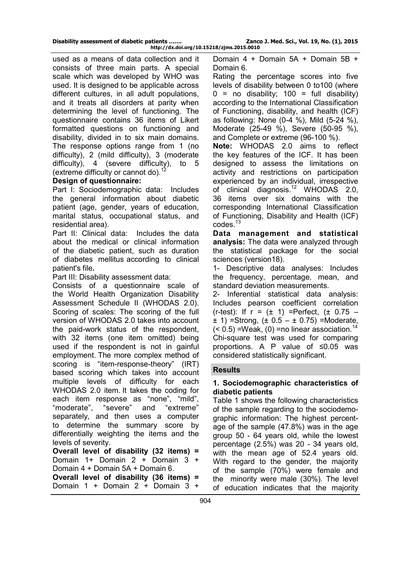used as a means of data collection and it consists of three main parts. A special scale which was developed by WHO was used. It is designed to be applicable across different cultures, in all adult populations, and it treats all disorders at parity when determining the level of functioning. The questionnaire contains 36 items of Likert formatted questions on functioning and disability, divided in to six main domains. The response options range from 1 (no difficulty), 2 (mild difficulty), 3 (moderate difficulty), 4 (severe difficulty), to 5 (extreme difficulty or cannot do).<sup>1</sup>

### **Design of questionnaire:**

Part I: Sociodemographic data: Includes the general information about diabetic patient (age, gender, years of education, marital status, occupational status, and residential area).

Part II: Clinical data: Includes the data about the medical or clinical information of the diabetic patient, such as duration of diabetes mellitus according to clinical patient's file**.**

Part III: Disability assessment data:

Consists of a questionnaire scale of the World Health Organization Disability Assessment Schedule II (WHODAS 2.0). Scoring of scales: The scoring of the full version of WHODAS 2.0 takes into account the paid-work status of the respondent, with 32 items (one item omitted) being used if the respondent is not in gainful employment. The more complex method of scoring is "item-response-theory" (IRT) based scoring which takes into account multiple levels of difficulty for each WHODAS 2.0 item. It takes the coding for each item response as "none", "mild", "moderate", "severe" and "extreme" separately, and then uses a computer to determine the summary score by differentially weighting the items and the levels of severity.

**Overall level of disability (32 items) =** Domain 1+ Domain 2 + Domain 3 + Domain 4 + Domain 5A + Domain 6. **Overall level of disability (36 items) =**

Domain 1 + Domain 2 + Domain 3 +

Domain 4 + Domain 5A + Domain 5B + Domain 6.

Rating the percentage scores into five levels of disability between 0 to100 (where  $0 =$  no disability; 100 = full disability) according to the International Classification of Functioning, disability, and health (ICF) as following: None (0-4 %), Mild (5-24 %), Moderate (25-49 %), Severe (50-95 %), and Complete or extreme (96-100 %).

**Note:** WHODAS 2.0 aims to reflect the key features of the ICF. It has been designed to assess the limitations on activity and restrictions on participation experienced by an individual, irrespective of clinical diagnosis.<sup>12</sup> WHODAS 2.0, 36 items over six domains with the corresponding International Classification of Functioning, Disability and Health (ICF) codes.<sup>13</sup>

**Data management and statistical analysis:** The data were analyzed through the statistical package for the social sciences (version18).

1- Descriptive data analyses: Includes the frequency, percentage, mean, and standard deviation measurements.

2- Inferential statistical data analysis: Includes pearson coefficient correlation  $(r-test)$ : If  $r = (\pm 1)$  =Perfect,  $(\pm 0.75 \pm$  1) =Strong, ( $\pm$  0.5 –  $\pm$  0.75) =Moderate,  $($  < 0.5) = Weak,  $(0)$  = no linear association.<sup>14</sup> Chi-square test was used for comparing proportions. A P value of ≤0.05 was considered statistically significant.

### **Results**

### **1. Sociodemographic characteristics of diabetic patients**

Table 1 shows the following characteristics of the sample regarding to the sociodemographic information: The highest percentage of the sample (47.8%) was in the age group 50 - 64 years old, while the lowest percentage (2.5%) was 20 - 34 years old, with the mean age of 52.4 years old. With regard to the gender, the majority of the sample (70%) were female and the minority were male (30%). The level of education indicates that the majority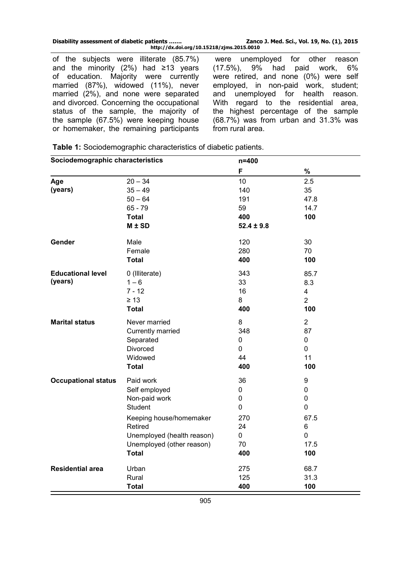of the subjects were illiterate (85.7%) and the minority  $(2%)$  had ≥13 years of education. Majority were currently married (87%), widowed (11%), never married (2%), and none were separated and divorced. Concerning the occupational status of the sample, the majority of the sample (67.5%) were keeping house or homemaker, the remaining participants

were unemployed for other reason (17.5%), 9% had paid work, 6% were retired, and none (0%) were self employed, in non-paid work, student; and unemployed for health reason. With regard to the residential area, the highest percentage of the sample (68.7%) was from urban and 31.3% was from rural area.

**Table 1:** Sociodemographic characteristics of diabetic patients.

| Sociodemographic characteristics |                            | $n = 400$      |                |
|----------------------------------|----------------------------|----------------|----------------|
|                                  |                            | F              | %              |
| Age                              | $20 - 34$                  | 10             | 2.5            |
| (years)                          | $35 - 49$                  | 140            | 35             |
|                                  | $50 - 64$                  | 191            | 47.8           |
|                                  | $65 - 79$                  | 59             | 14.7           |
|                                  | <b>Total</b>               | 400            | 100            |
|                                  | M ± SD                     | $52.4 \pm 9.8$ |                |
| Gender                           | Male                       | 120            | 30             |
|                                  | Female                     | 280            | 70             |
|                                  | <b>Total</b>               | 400            | 100            |
| <b>Educational level</b>         | 0 (Illiterate)             | 343            | 85.7           |
| (years)                          | $1 - 6$                    | 33             | 8.3            |
|                                  | $7 - 12$                   | 16             | $\overline{4}$ |
|                                  | $\geq 13$                  | 8              | $\overline{2}$ |
|                                  | <b>Total</b>               | 400            | 100            |
| <b>Marital status</b>            | Never married              | 8              | $\overline{2}$ |
|                                  | Currently married          | 348            | 87             |
|                                  | Separated                  | 0              | $\mathbf 0$    |
|                                  | Divorced                   | 0              | $\mathbf 0$    |
|                                  | Widowed                    | 44             | 11             |
|                                  | <b>Total</b>               | 400            | 100            |
| <b>Occupational status</b>       | Paid work                  | 36             | 9              |
|                                  | Self employed              | 0              | 0              |
|                                  | Non-paid work              | 0              | 0              |
|                                  | <b>Student</b>             | 0              | $\mathbf 0$    |
|                                  | Keeping house/homemaker    | 270            | 67.5           |
|                                  | Retired                    | 24             | 6              |
|                                  | Unemployed (health reason) | 0              | 0              |
|                                  | Unemployed (other reason)  | 70             | 17.5           |
|                                  | <b>Total</b>               | 400            | 100            |
| <b>Residential area</b>          | Urban                      | 275            | 68.7           |
|                                  | Rural                      | 125            | 31.3           |
|                                  | <b>Total</b>               | 400            | 100            |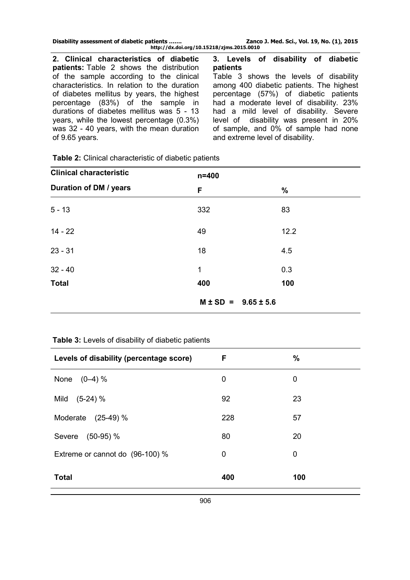| Disability assessment of diabetic patients | Zanco J. Med. Sci., Vol. 19, No. (1), 2015 |  |  |  |
|--------------------------------------------|--------------------------------------------|--|--|--|
| http://dx.doi.org/10.15218/zjms.2015.0010  |                                            |  |  |  |

**2. Clinical characteristics of diabetic patients:** Table 2 shows the distribution of the sample according to the clinical characteristics. In relation to the duration of diabetes mellitus by years, the highest percentage (83%) of the sample in durations of diabetes mellitus was 5 - 13 years, while the lowest percentage (0.3%) was 32 - 40 years, with the mean duration of 9.65 years.

**3. Levels of disability of diabetic patients**

Table 3 shows the levels of disability among 400 diabetic patients. The highest percentage (57%) of diabetic patients had a moderate level of disability. 23% had a mild level of disability. Severe level of disability was present in 20% of sample, and 0% of sample had none and extreme level of disability.

| <b>Clinical characteristic</b> | $n = 400$                      |      |
|--------------------------------|--------------------------------|------|
| Duration of DM / years         | F                              | $\%$ |
| $5 - 13$                       | 332                            | 83   |
| $14 - 22$                      | 49                             | 12.2 |
| $23 - 31$                      | 18                             | 4.5  |
| $32 - 40$                      | 1                              | 0.3  |
| <b>Total</b>                   | 400                            | 100  |
|                                | $M \pm SD =$<br>$9.65 \pm 5.6$ |      |

**Table 2:** Clinical characteristic of diabetic patients

# **Table 3:** Levels of disability of diabetic patients

| Levels of disability (percentage score) | F   | $\%$ |
|-----------------------------------------|-----|------|
| None $(0-4)$ %                          | 0   | 0    |
| $(5-24)$ %<br>Mild                      | 92  | 23   |
| Moderate (25-49) %                      | 228 | 57   |
| Severe (50-95) %                        | 80  | 20   |
| Extreme or cannot do (96-100) %         | 0   | 0    |
| <b>Total</b>                            | 400 | 100  |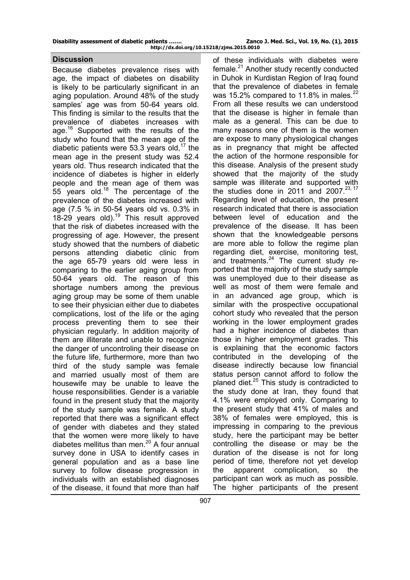#### **Discussion**

Because diabetes prevalence rises with age, the impact of diabetes on disability is likely to be particularly significant in an aging population. Around 48% of the study samples' age was from 50-64 years old. This finding is similar to the results that the prevalence of diabetes increases with age.<sup>16</sup> Supported with the results of the study who found that the mean age of the diabetic patients were 53.3 years old,<sup>17</sup> the mean age in the present study was 52.4 years old. Thus research indicated that the incidence of diabetes is higher in elderly people and the mean age of them was 55 years old.<sup>18</sup> The percentage of the prevalence of the diabetes increased with age (7.5 % in 50-54 years old vs. 0.3% in  $18-29$  years old).<sup>19</sup> This result approved that the risk of diabetes increased with the progressing of age. However, the present study showed that the numbers of diabetic persons attending diabetic clinic from the age 65-79 years old were less in comparing to the earlier aging group from 50-64 years old. The reason of this shortage numbers among the previous aging group may be some of them unable to see their physician either due to diabetes complications, lost of the life or the aging process preventing them to see their physician regularly. In addition majority of them are illiterate and unable to recognize the danger of uncontroling their disease on the future life, furthermore, more than two third of the study sample was female and married usually most of them are housewife may be unable to leave the house responsibilities. Gender is a variable found in the present study that the majority of the study sample was female. A study reported that there was a significant effect of gender with diabetes and they stated that the women were more likely to have diabetes mellitus than men.<sup>20</sup> A four annual survey done in USA to identify cases in general population and as a base line survey to follow disease progression in individuals with an established diagnoses of the disease, it found that more than half of these individuals with diabetes were  $f$ female. $^{21}$  Another study recently conducted in Duhok in Kurdistan Region of Iraq found that the prevalence of diabetes in female was 15.2% compared to 11.8% in males. $^{22}$ From all these results we can understood that the disease is higher in female than male as a general. This can be due to many reasons one of them is the women are expose to many physiological changes as in pregnancy that might be affected the action of the hormone responsible for this disease. Analysis of the present study showed that the majority of the study sample was illiterate and supported with the studies done in 2011 and 2007.<sup>23, 17</sup> Regarding level of education, the present research indicated that there is association between level of education and the prevalence of the disease. It has been shown that the knowledgeable persons are more able to follow the regime plan regarding diet, exercise, monitoring test, and treatments. $24$  The current study reported that the majority of the study sample was unemployed due to their disease as well as most of them were female and in an advanced age group, which is similar with the prospective occupational cohort study who revealed that the person working in the lower employment grades had a higher incidence of diabetes than those in higher employment grades. This is explaining that the economic factors contributed in the developing of the disease indirectly because low financial status person cannot afford to follow the planed diet.<sup>25</sup> This study is contradicted to the study done at Iran, they found that 4.1% were employed only. Comparing to the present study that 41% of males and 38% of females were employed, this is impressing in comparing to the previous study, here the participant may be better controlling the disease or may be the duration of the disease is not for long period of time, therefore not yet develop the apparent complication, so the participant can work as much as possible. The higher participants of the present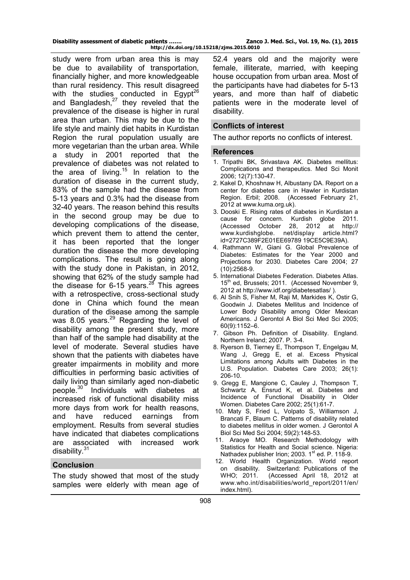**http://dx.doi.org/10.15218/zjms.2015.0010**

study were from urban area this is may be due to availability of transportation, financially higher, and more knowledgeable than rural residency. This result disagreed with the studies conducted in Egypt<sup>26</sup> and Bangladesh, $^{27}$  they reveled that the prevalence of the disease is higher in rural area than urban. This may be due to the life style and mainly diet habits in Kurdistan Region the rural population usually are more vegetarian than the urban area. While a study in 2001 reported that the prevalence of diabetes was not related to the area of living.<sup>15</sup> In relation to the duration of disease in the current study, 83% of the sample had the disease from 5-13 years and 0.3% had the disease from 32-40 years. The reason behind this results in the second group may be due to developing complications of the disease, which prevent them to attend the center, it has been reported that the longer duration the disease the more developing complications. The result is going along with the study done in Pakistan, in 2012, showing that 62% of the study sample had the disease for 6-15 years.<sup>28</sup> This agrees with a retrospective, cross-sectional study done in China which found the mean duration of the disease among the sample was 8.05 years.<sup>29</sup> Regarding the level of disability among the present study, more than half of the sample had disability at the level of moderate. Several studies have shown that the patients with diabetes have greater impairments in mobility and more difficulties in performing basic activities of daily living than similarly aged non-diabetic people.<sup>30</sup> Individuals with diabetes at increased risk of functional disability miss more days from work for health reasons, and have reduced earnings from employment. Results from several studies have indicated that diabetes complications are associated with increased work disability. $31$ 

### **Conclusion**

The study showed that most of the study samples were elderly with mean age of

52.4 years old and the majority were female, illiterate, married, with keeping house occupation from urban area. Most of the participants have had diabetes for 5-13 years, and more than half of diabetic patients were in the moderate level of disability.

#### **Conflicts of interest**

The author reports no conflicts of interest.

#### **References**

- 1. Tripathi BK, Srivastava AK. Diabetes mellitus: Complications and therapeutics. Med Sci Monit 2006; 12(7):130-47.
- 2. Kakel D, Khoshnaw H, Albustany DA. Report on a center for diabetes care in Hawler in Kurdistan Region. Erbil; 2008. (Accessed February 21, 2012 at [www.kuma.org.uk\).](http://www.kuma.org.uk/)
- 3. Dooski E. Rising rates of diabetes in Kurdistan a cause for concern. Kurdish globe 2011.<br>(Accessed October 28, 2012 at http:// (Accessed October 28, www.kurdishglobe. net/display article.html? id=2727C389F2E01EE69789 19CE5C9E39A).
- 4. Rathmann W, Giani G. Global Prevalence of Diabetes: Estimates for the Year 2000 and Projections for 2030. Diabetes Care 2004; 27 (10):2568-9.
- 5. International Diabetes Federation. Diabetes Atlas. 15<sup>th</sup> ed, Brussels; 2011. (Accessed November 9, 2012 at <http://www.idf.org/diabetesatlas/> ).
- 6. Al Snih S, Fisher M, Raji M, Markides K, Ostir G, Goodwin J. Diabetes Mellitus and Incidence of Lower Body Disability among Older Mexican Americans. [J Gerontol A Biol Sci Med Sci](http://www.ncbi.nlm.nih.gov/pubmed/16183964) 2005; 60(9):1152–6.
- 7. Gibson Ph. Definition of Disability. England. Northern Ireland; 2007. P. 3-4.
- 8. Ryerson B, Tierney E, Thompson T, Engelgau M, Wang J, Gregg E, et al. Excess Physical Limitations among Adults with Diabetes in the U.S. Population. Diabetes Care 2003; 26(1): 206-10.
- 9. Gregg E, Mangione C, Cauley J, Thompson T, Schwartz A, Ensrud K, et al. Diabetes and Incidence of Functional Disability in Older Women. Diabetes Care 2002; 25(1):61-7.
- 10. [Maty S,](http://www.ncbi.nlm.nih.gov/pubmed?term=Maty%20SC%5BAuthor%5D&cauthor=true&cauthor_uid=14999029) [Fried L,](http://www.ncbi.nlm.nih.gov/pubmed?term=Fried%20LP%5BAuthor%5D&cauthor=true&cauthor_uid=14999029) [Volpato S,](http://www.ncbi.nlm.nih.gov/pubmed?term=Volpato%20S%5BAuthor%5D&cauthor=true&cauthor_uid=14999029) [Williamson J,](http://www.ncbi.nlm.nih.gov/pubmed?term=Williamson%20J%5BAuthor%5D&cauthor=true&cauthor_uid=14999029) [Brancati F,](http://www.ncbi.nlm.nih.gov/pubmed?term=Brancati%20FL%5BAuthor%5D&cauthor=true&cauthor_uid=14999029) [Blaum C.](http://www.ncbi.nlm.nih.gov/pubmed?term=Blaum%20CS%5BAuthor%5D&cauthor=true&cauthor_uid=14999029) Patterns of disability related to diabetes mellitus in older women. J Gerontol A Biol Sci Med Sci 2004; 59(2):148-53.
- 11. Araoye MO. Research Methodology with Statistics for Health and Social science. Nigeria: Nathadex publisher Irion; 2003. 1<sup>st</sup> ed. P. 118-9.
- 12. World Health Organization. World report on disability. Switzerland: Publications of the WHO; 2011. (Accessed April 18, 2012 at [www.who.int/disabilities/world\\_report/2011/en/](http://www.who.int/disabilities/world_report/2011/en/index.html) [index.html\).](http://www.who.int/disabilities/world_report/2011/en/index.html)